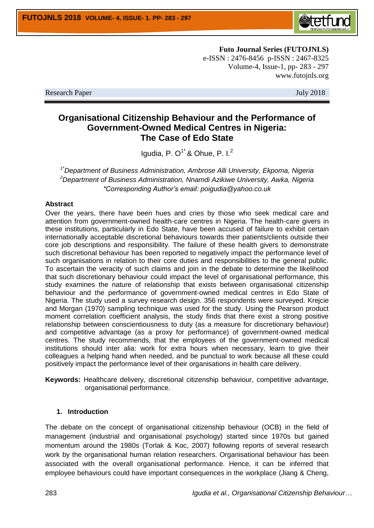

**Futo Journal Series (FUTOJNLS)** e-ISSN : 2476-8456 p-ISSN : 2467-8325 Volume-4, Issue-1, pp- 283 - 297 www.futojnls.org

Research Paper July 2018

# **Organisational Citizenship Behaviour and the Performance of Government-Owned Medical Centres in Nigeria: The Case of Edo State**

Igudia, P.  $O<sup>1*</sup>$  & Ohue, P. I.<sup>2</sup>

*1\*Department of Business Administration, Ambrose Alli University, Ekpoma, Nigeria <sup>2</sup>Department of Business Administration, Nnamdi Azikiwe University, Awka, Nigeria \*Corresponding Author's email: poigudia@yahoo.co.uk*

#### **Abstract**

Over the years, there have been hues and cries by those who seek medical care and attention from government-owned health-care centres in Nigeria. The health-care givers in these institutions, particularly in Edo State, have been accused of failure to exhibit certain internationally acceptable discretional behaviours towards their patients/clients outside their core job descriptions and responsibility. The failure of these health givers to demonstrate such discretional behaviour has been reported to negatively impact the performance level of such organisations in relation to their core duties and responsibilities to the general public. To ascertain the veracity of such claims and join in the debate to determine the likelihood that such discretionary behaviour could impact the level of organisational performance, this study examines the nature of relationship that exists between organisational citizenship behaviour and the performance of government-owned medical centres in Edo State of Nigeria. The study used a survey research design. 356 respondents were surveyed. Krejcie and Morgan (1970) sampling technique was used for the study. Using the Pearson product moment correlation coefficient analysis, the study finds that there exist a strong positive relationship between conscientiousness to duty (as a measure for discretionary behaviour) and competitive advantage (as a proxy for performance) of government-owned medical centres. The study recommends, that the employees of the government-owned medical institutions should inter alia: work for extra hours when necessary, learn to give their colleagues a helping hand when needed, and be punctual to work because all these could positively impact the performance level of their organisations in health care delivery.

**Keywords:** Healthcare delivery, discretional citizenship behaviour, competitive advantage, organisational performance.

## **1. Introduction**

The debate on the concept of organisational citizenship behaviour (OCB) in the field of management (industrial and organisational psychology) started since 1970s but gained momentum around the 1980s (Torlak & Koc, 2007) following reports of several research work by the organisational human relation researchers. Organisational behaviour has been associated with the overall organisational performance. Hence, it can be inferred that employee behaviours could have important consequences in the workplace (Jiang & Cheng,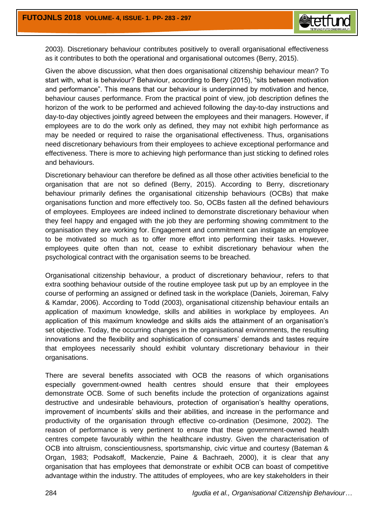

2003). Discretionary behaviour contributes positively to overall organisational effectiveness as it contributes to both the operational and organisational outcomes (Berry, 2015).

Given the above discussion, what then does organisational citizenship behaviour mean? To start with, what is behaviour? Behaviour, according to Berry (2015), "sits between motivation and performance". This means that our behaviour is underpinned by motivation and hence, behaviour causes performance. From the practical point of view, job description defines the horizon of the work to be performed and achieved following the day-to-day instructions and day-to-day objectives jointly agreed between the employees and their managers. However, if employees are to do the work only as defined, they may not exhibit high performance as may be needed or required to raise the organisational effectiveness. Thus, organisations need discretionary behaviours from their employees to achieve exceptional performance and effectiveness. There is more to achieving high performance than just sticking to defined roles and behaviours.

Discretionary behaviour can therefore be defined as all those other activities beneficial to the organisation that are not so defined (Berry, 2015). According to Berry, discretionary behaviour primarily defines the organisational citizenship behaviours (OCBs) that make organisations function and more effectively too. So, OCBs fasten all the defined behaviours of employees. Employees are indeed inclined to demonstrate discretionary behaviour when they feel happy and engaged with the job they are performing showing commitment to the organisation they are working for. Engagement and commitment can instigate an employee to be motivated so much as to offer more effort into performing their tasks. However, employees quite often than not, cease to exhibit discretionary behaviour when the psychological contract with the organisation seems to be breached.

Organisational citizenship behaviour, a product of discretionary behaviour, refers to that extra soothing behaviour outside of the routine employee task put up by an employee in the course of performing an assigned or defined task in the workplace (Daniels, Joireman, Falvy & Kamdar, 2006). According to Todd (2003), organisational citizenship behaviour entails an application of maximum knowledge, skills and abilities in workplace by employees. An application of this maximum knowledge and skills aids the attainment of an organisation's set objective. Today, the occurring changes in the organisational environments, the resulting innovations and the flexibility and sophistication of consumers' demands and tastes require that employees necessarily should exhibit voluntary discretionary behaviour in their organisations.

There are several benefits associated with OCB the reasons of which organisations especially government-owned health centres should ensure that their employees demonstrate OCB. Some of such benefits include the protection of organizations against destructive and undesirable behaviours, protection of organisation's healthy operations, improvement of incumbents' skills and their abilities, and increase in the performance and productivity of the organisation through effective co-ordination (Desimone, 2002). The reason of performance is very pertinent to ensure that these government-owned health centres compete favourably within the healthcare industry. Given the characterisation of OCB into altruism, conscientiousness, sportsmanship, civic virtue and courtesy (Bateman & Organ, 1983; Podsakoff, Mackenzie, Paine & Bachraeh, 2000), it is clear that any organisation that has employees that demonstrate or exhibit OCB can boast of competitive advantage within the industry. The attitudes of employees, who are key stakeholders in their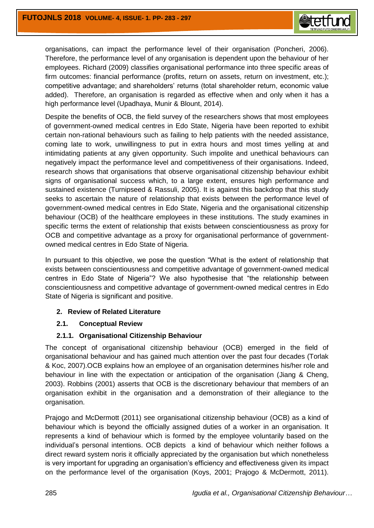

organisations, can impact the performance level of their organisation (Poncheri, 2006). Therefore, the performance level of any organisation is dependent upon the behaviour of her employees. Richard (2009) classifies organisational performance into three specific areas of firm outcomes: financial performance (profits, return on assets, return on investment, etc.); competitive advantage; and shareholders' returns (total shareholder return, economic value added). Therefore, an organisation is regarded as effective when and only when it has a high performance level (Upadhaya, Munir & Blount, 2014).

Despite the benefits of OCB, the field survey of the researchers shows that most employees of government-owned medical centres in Edo State, Nigeria have been reported to exhibit certain non-rational behaviours such as failing to help patients with the needed assistance, coming late to work, unwillingness to put in extra hours and most times yelling at and intimidating patients at any given opportunity. Such impolite and unethical behaviours can negatively impact the performance level and competitiveness of their organisations. Indeed, research shows that organisations that observe organisational citizenship behaviour exhibit signs of organisational success which, to a large extent, ensures high performance and sustained existence (Turnipseed & Rassuli, 2005). It is against this backdrop that this study seeks to ascertain the nature of relationship that exists between the performance level of government-owned medical centres in Edo State, Nigeria and the organisational citizenship behaviour (OCB) of the healthcare employees in these institutions. The study examines in specific terms the extent of relationship that exists between conscientiousness as proxy for OCB and competitive advantage as a proxy for organisational performance of governmentowned medical centres in Edo State of Nigeria.

In pursuant to this objective, we pose the question "What is the extent of relationship that exists between conscientiousness and competitive advantage of government-owned medical centres in Edo State of Nigeria"? We also hypothesise that "the relationship between conscientiousness and competitive advantage of government-owned medical centres in Edo State of Nigeria is significant and positive.

### **2. Review of Related Literature**

### **2.1. Conceptual Review**

### **2.1.1. Organisational Citizenship Behaviour**

The concept of organisational citizenship behaviour (OCB) emerged in the field of organisational behaviour and has gained much attention over the past four decades (Torlak & Koc, 2007).OCB explains how an employee of an organisation determines his/her role and behaviour in line with the expectation or anticipation of the organisation (Jiang & Cheng, 2003). Robbins (2001) asserts that OCB is the discretionary behaviour that members of an organisation exhibit in the organisation and a demonstration of their allegiance to the organisation.

Prajogo and McDermott (2011) see organisational citizenship behaviour (OCB) as a kind of behaviour which is beyond the officially assigned duties of a worker in an organisation. It represents a kind of behaviour which is formed by the employee voluntarily based on the individual's personal intentions. OCB depicts a kind of behaviour which neither follows a direct reward system noris it officially appreciated by the organisation but which nonetheless is very important for upgrading an organisation's efficiency and effectiveness given its impact on the performance level of the organisation (Koys, 2001; Prajogo & McDermott, 2011).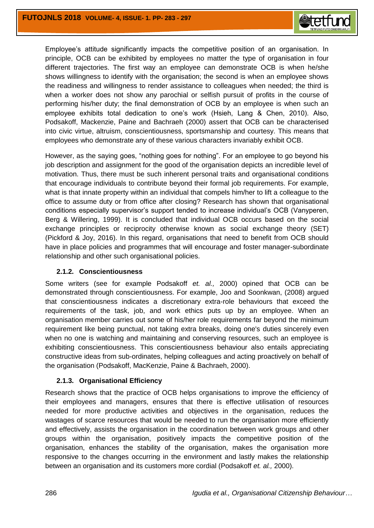

Employee's attitude significantly impacts the competitive position of an organisation. In principle, OCB can be exhibited by employees no matter the type of organisation in four different trajectories. The first way an employee can demonstrate OCB is when he/she shows willingness to identify with the organisation; the second is when an employee shows the readiness and willingness to render assistance to colleagues when needed; the third is when a worker does not show any parochial or selfish pursuit of profits in the course of performing his/her duty; the final demonstration of OCB by an employee is when such an employee exhibits total dedication to one's work (Hsieh, Lang & Chen, 2010). Also, Podsakoff, Mackenzie, Paine and Bachraeh (2000) assert that OCB can be characterised into civic virtue, altruism, conscientiousness, sportsmanship and courtesy. This means that employees who demonstrate any of these various characters invariably exhibit OCB.

However, as the saying goes, "nothing goes for nothing". For an employee to go beyond his job description and assignment for the good of the organisation depicts an incredible level of motivation. Thus, there must be such inherent personal traits and organisational conditions that encourage individuals to contribute beyond their formal job requirements. For example, what is that innate property within an individual that compels him/her to lift a colleague to the office to assume duty or from office after closing? Research has shown that organisational conditions especially supervisor's support tended to increase individual's OCB (Vanyperen, Berg & Willering, 1999). It is concluded that individual OCB occurs based on the social exchange principles or reciprocity otherwise known as social exchange theory (SET) (Pickford & Joy, 2016). In this regard, organisations that need to benefit from OCB should have in place policies and programmes that will encourage and foster manager-subordinate relationship and other such organisational policies.

### **2.1.2. Conscientiousness**

Some writers (see for example Podsakoff *et. al.,* 2000) opined that OCB can be demonstrated through conscientiousness. For example, Joo and Soonkwan, (2008) argued that conscientiousness indicates a discretionary extra-role behaviours that exceed the requirements of the task, job, and work ethics puts up by an employee. When an organisation member carries out some of his/her role requirements far beyond the minimum requirement like being punctual, not taking extra breaks, doing one's duties sincerely even when no one is watching and maintaining and conserving resources, such an employee is exhibiting conscientiousness. This conscientiousness behaviour also entails appreciating constructive ideas from sub-ordinates, helping colleagues and acting proactively on behalf of the organisation (Podsakoff, MacKenzie, Paine & Bachraeh, 2000).

### **2.1.3. Organisational Efficiency**

Research shows that the practice of OCB helps organisations to improve the efficiency of their employees and managers, ensures that there is effective utilisation of resources needed for more productive activities and objectives in the organisation, reduces the wastages of scarce resources that would be needed to run the organisation more efficiently and effectively, assists the organisation in the coordination between work groups and other groups within the organisation, positively impacts the competitive position of the organisation, enhances the stability of the organisation, makes the organisation more responsive to the changes occurring in the environment and lastly makes the relationship between an organisation and its customers more cordial (Podsakoff *et. al.,* 2000).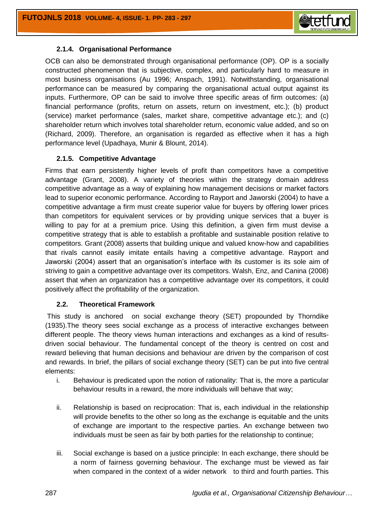

### **2.1.4. Organisational Performance**

OCB can also be demonstrated through organisational performance (OP). OP is a socially constructed phenomenon that is subjective, complex, and particularly hard to measure in most business organisations (Au 1996; Anspach, 1991). Notwithstanding, organisational performance can be measured by comparing the organisational actual output against its inputs. Furthermore, OP can be said to involve three specific areas of firm outcomes: (a) financial performance (profits, return on assets, return on investment, etc.); (b) product (service) market performance (sales, market share, competitive advantage etc.); and (c) shareholder return which involves total shareholder return, economic value added, and so on (Richard, 2009). Therefore, an organisation is regarded as effective when it has a high performance level (Upadhaya, Munir & Blount, 2014).

### **2.1.5. Competitive Advantage**

Firms that earn persistently higher levels of profit than competitors have a competitive advantage (Grant, 2008). A variety of theories within the strategy domain address competitive advantage as a way of explaining how management decisions or market factors lead to superior economic performance. According to Rayport and Jaworski (2004) to have a competitive advantage a firm must create superior value for buyers by offering lower prices than competitors for equivalent services or by providing unique services that a buyer is willing to pay for at a premium price. Using this definition, a given firm must devise a competitive strategy that is able to establish a profitable and sustainable position relative to competitors. Grant (2008) asserts that building unique and valued know-how and capabilities that rivals cannot easily imitate entails having a competitive advantage. Rayport and Jaworski (2004) assert that an organisation's interface with its customer is its sole aim of striving to gain a competitive advantage over its competitors. Walsh, Enz, and Canina (2008) assert that when an organization has a competitive advantage over its competitors, it could positively affect the profitability of the organization.

# **2.2. Theoretical Framework**

This study is anchored on social exchange theory (SET) propounded by Thorndike (1935).The theory sees social exchange as a process of interactive exchanges between different people. The theory views human interactions and exchanges as a kind of resultsdriven social behaviour. The fundamental concept of the theory is centred on cost and reward believing that human decisions and behaviour are driven by the comparison of cost and rewards. In brief, the pillars of social exchange theory (SET) can be put into five central elements:

- i. Behaviour is predicated upon the notion of rationality: That is, the more a particular behaviour results in a reward, the more individuals will behave that way;
- ii. Relationship is based on reciprocation: That is, each individual in the relationship will provide benefits to the other so long as the exchange is equitable and the units of exchange are important to the respective parties. An exchange between two individuals must be seen as fair by both parties for the relationship to continue;
- iii. Social exchange is based on a justice principle: In each exchange, there should be a norm of fairness governing behaviour. The exchange must be viewed as fair when compared in the context of a wider network to third and fourth parties. This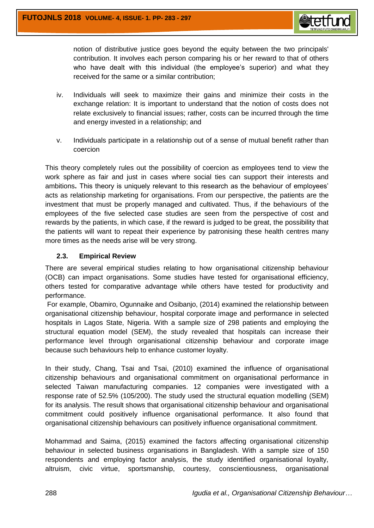

notion of distributive justice goes beyond the equity between the two principals' contribution. It involves each person comparing his or her reward to that of others who have dealt with this individual (the employee's superior) and what they received for the same or a similar contribution;

- iv. Individuals will seek to maximize their gains and minimize their costs in the exchange relation: It is important to understand that the notion of costs does not relate exclusively to financial issues; rather, costs can be incurred through the time and energy invested in a relationship; and
- v. Individuals participate in a relationship out of a sense of mutual benefit rather than coercion

This theory completely rules out the possibility of coercion as employees tend to view the work sphere as fair and just in cases where social ties can support their interests and ambitions**.** This theory is uniquely relevant to this research as the behaviour of employees' acts as relationship marketing for organisations. From our perspective, the patients are the investment that must be properly managed and cultivated. Thus, if the behaviours of the employees of the five selected case studies are seen from the perspective of cost and rewards by the patients, in which case, if the reward is judged to be great, the possibility that the patients will want to repeat their experience by patronising these health centres many more times as the needs arise will be very strong.

### **2.3. Empirical Review**

There are several empirical studies relating to how organisational citizenship behaviour (OCB) can impact organisations. Some studies have tested for organisational efficiency, others tested for comparative advantage while others have tested for productivity and performance.

For example, Obamiro, Ogunnaike and Osibanjo, (2014) examined the relationship between organisational citizenship behaviour, hospital corporate image and performance in selected hospitals in Lagos State, Nigeria. With a sample size of 298 patients and employing the structural equation model (SEM), the study revealed that hospitals can increase their performance level through organisational citizenship behaviour and corporate image because such behaviours help to enhance customer loyalty.

In their study, Chang, Tsai and Tsai, (2010) examined the influence of organisational citizenship behaviours and organisational commitment on organisational performance in selected Taiwan manufacturing companies. 12 companies were investigated with a response rate of 52.5% (105/200). The study used the structural equation modelling (SEM) for its analysis. The result shows that organisational citizenship behaviour and organisational commitment could positively influence organisational performance. It also found that organisational citizenship behaviours can positively influence organisational commitment.

Mohammad and Saima, (2015) examined the factors affecting organisational citizenship behaviour in selected business organisations in Bangladesh. With a sample size of 150 respondents and employing factor analysis, the study identified organisational loyalty, altruism, civic virtue, sportsmanship, courtesy, conscientiousness, organisational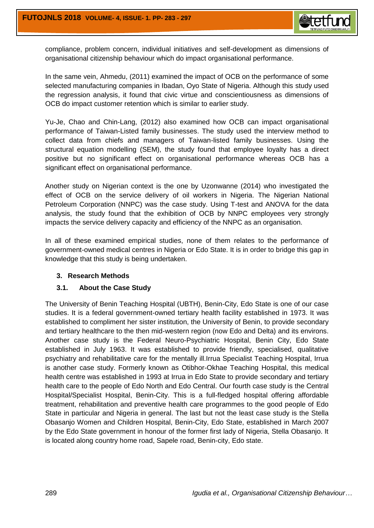compliance, problem concern, individual initiatives and self-development as dimensions of organisational citizenship behaviour which do impact organisational performance.

In the same vein, Ahmedu, (2011) examined the impact of OCB on the performance of some selected manufacturing companies in Ibadan, Oyo State of Nigeria. Although this study used the regression analysis, it found that civic virtue and conscientiousness as dimensions of OCB do impact customer retention which is similar to earlier study.

Yu-Je, Chao and Chin-Lang, (2012) also examined how OCB can impact organisational performance of Taiwan-Listed family businesses. The study used the interview method to collect data from chiefs and managers of Taiwan-listed family businesses. Using the structural equation modelling (SEM), the study found that employee loyalty has a direct positive but no significant effect on organisational performance whereas OCB has a significant effect on organisational performance.

Another study on Nigerian context is the one by Uzonwanne (2014) who investigated the effect of OCB on the service delivery of oil workers in Nigeria. The Nigerian National Petroleum Corporation (NNPC) was the case study. Using T-test and ANOVA for the data analysis, the study found that the exhibition of OCB by NNPC employees very strongly impacts the service delivery capacity and efficiency of the NNPC as an organisation.

In all of these examined empirical studies, none of them relates to the performance of government-owned medical centres in Nigeria or Edo State. It is in order to bridge this gap in knowledge that this study is being undertaken.

### **3. Research Methods**

### **3.1. About the Case Study**

The University of Benin Teaching Hospital (UBTH), Benin-City, Edo State is one of our case studies. It is a federal government-owned tertiary health facility established in 1973. It was established to compliment her sister institution, the University of Benin, to provide secondary and tertiary healthcare to the then mid-western region (now Edo and Delta) and its environs. Another case study is the Federal Neuro-Psychiatric Hospital, Benin City, Edo State established in July 1963. It was established to provide friendly, specialised, qualitative psychiatry and rehabilitative care for the mentally ill.Irrua Specialist Teaching Hospital, Irrua is another case study. Formerly known as Otibhor-Okhae Teaching Hospital, this medical health centre was established in 1993 at Irrua in Edo State to provide secondary and tertiary health care to the people of Edo North and Edo Central. Our fourth case study is the Central Hospital/Specialist Hospital, Benin-City. This is a full-fledged hospital offering affordable treatment, rehabilitation and preventive health care programmes to the good people of Edo State in particular and Nigeria in general. The last but not the least case study is the Stella Obasanjo Women and Children Hospital, Benin-City, Edo State, established in March 2007 by the Edo State government in honour of the former first lady of Nigeria, Stella Obasanjo. It is located along country home road, Sapele road, Benin-city, Edo state.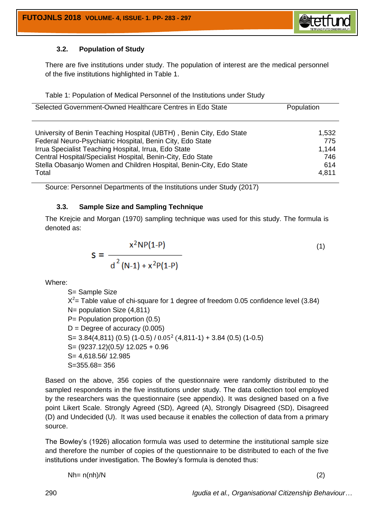

## **3.2. Population of Study**

There are five institutions under study. The population of interest are the medical personnel of the five institutions highlighted in Table 1.

|  | Table 1: Population of Medical Personnel of the Institutions under Study |  |
|--|--------------------------------------------------------------------------|--|
|  |                                                                          |  |
|  |                                                                          |  |

| Selected Government-Owned Healthcare Centres in Edo State           | Population |
|---------------------------------------------------------------------|------------|
| University of Benin Teaching Hospital (UBTH), Benin City, Edo State | 1,532      |
| Federal Neuro-Psychiatric Hospital, Benin City, Edo State           | 775        |
| Irrua Specialist Teaching Hospital, Irrua, Edo State                | 1,144      |
| Central Hospital/Specialist Hospital, Benin-City, Edo State         | 746        |
| Stella Obasanjo Women and Children Hospital, Benin-City, Edo State  | 614        |
| Total                                                               | 4,811      |

Source: Personnel Departments of the Institutions under Study (2017)

### **3.3. Sample Size and Sampling Technique**

The Krejcie and Morgan (1970) sampling technique was used for this study. The formula is denoted as:

$$
S = \frac{x^2 NP(1-P)}{d^2 (N-1) + x^2 P(1-P)}
$$
(1)

Where:

S= Sample Size  $X^2$  Table value of chi-square for 1 degree of freedom 0.05 confidence level (3.84) N= population Size (4,811) P= Population proportion (0.5)  $D =$  Degree of accuracy (0.005) S=  $3.84(4,811)$  (0.5) (1-0.5) / 0.05<sup>2</sup> (4,811-1) + 3.84 (0.5) (1-0.5) S= (9237.12)(0.5)/ 12.025 + 0.96 S= 4,618.56/ 12.985 S=355.68= 356

Based on the above, 356 copies of the questionnaire were randomly distributed to the sampled respondents in the five institutions under study. The data collection tool employed by the researchers was the questionnaire (see appendix). It was designed based on a five point Likert Scale. Strongly Agreed (SD), Agreed (A), Strongly Disagreed (SD), Disagreed (D) and Undecided (U). It was used because it enables the collection of data from a primary source.

The Bowley's (1926) allocation formula was used to determine the institutional sample size and therefore the number of copies of the questionnaire to be distributed to each of the five institutions under investigation. The Bowley's formula is denoted thus:

$$
Nh = n(nh)/N
$$
 (2)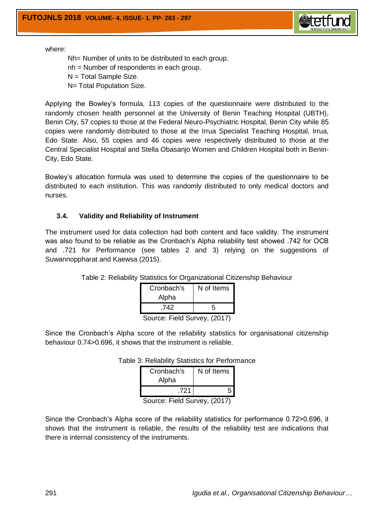

Nh= Number of units to be distributed to each group. nh = Number of respondents in each group. N = Total Sample Size. N= Total Population Size.

Applying the Bowley's formula, 113 copies of the questionnaire were distributed to the randomly chosen health personnel at the University of Benin Teaching Hospital (UBTH), Benin City, 57 copies to those at the Federal Neuro-Psychiatric Hospital, Benin City while 85 copies were randomly distributed to those at the Irrua Specialist Teaching Hospital, Irrua, Edo State. Also, 55 copies and 46 copies were respectively distributed to those at the Central Specialist Hospital and Stella Obasanjo Women and Children Hospital both in Benin-City, Edo State.

Bowley's allocation formula was used to determine the copies of the questionnaire to be distributed to each institution. This was randomly distributed to only medical doctors and nurses.

### **3.4. Validity and Reliability of Instrument**

The instrument used for data collection had both content and face validity. The instrument was also found to be reliable as the Cronbach's Alpha reliability test showed .742 for OCB and .721 for Performance (see tables 2 and 3) relying on the suggestions of Suwannoppharat and Kaewsa (2015).

| Cronbach's     | N of Items |  |  |  |  |
|----------------|------------|--|--|--|--|
| Alpha          |            |  |  |  |  |
| .742           | 5          |  |  |  |  |
| 。。. ㄷ:؞!~! ⌒…. |            |  |  |  |  |

Table 2: Reliability Statistics for Organizational Citizenship Behaviour

Source: Field Survey, (2017)

Since the Cronbach's Alpha score of the reliability statistics for organisational citizenship behaviour 0.74>0.696, it shows that the instrument is reliable.

| Cronbach's | N of Items |
|------------|------------|
| Alpha      |            |
| .721       |            |
|            |            |

Table 3: Reliability Statistics for Performance

Source: Field Survey, (2017)

Since the Cronbach's Alpha score of the reliability statistics for performance 0.72>0.696, it shows that the instrument is reliable, the results of the reliability test are indications that there is internal consistency of the instruments.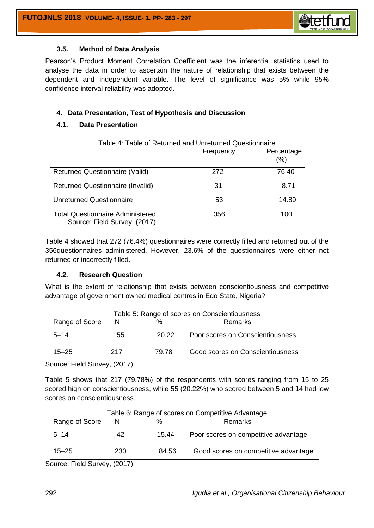

#### **3.5. Method of Data Analysis**

Pearson's Product Moment Correlation Coefficient was the inferential statistics used to analyse the data in order to ascertain the nature of relationship that exists between the dependent and independent variable. The level of significance was 5% while 95% confidence interval reliability was adopted.

### **4. Data Presentation, Test of Hypothesis and Discussion**

### **4.1. Data Presentation**

| Table 4: Table of Returned and Unreturned Questionnaire |           |                   |  |  |  |  |
|---------------------------------------------------------|-----------|-------------------|--|--|--|--|
|                                                         | Frequency | Percentage<br>(%) |  |  |  |  |
| <b>Returned Questionnaire (Valid)</b>                   | 272       | 76.40             |  |  |  |  |
| <b>Returned Questionnaire (Invalid)</b>                 | 31        | 8.71              |  |  |  |  |
| <b>Unreturned Questionnaire</b>                         | 53        | 14.89             |  |  |  |  |
| <b>Total Questionnaire Administered</b>                 | 356       | 100               |  |  |  |  |
| Source: Field Survey, (2017)                            |           |                   |  |  |  |  |

Table 4 showed that 272 (76.4%) questionnaires were correctly filled and returned out of the 356questionnaires administered. However, 23.6% of the questionnaires were either not returned or incorrectly filled.

### **4.2. Research Question**

What is the extent of relationship that exists between conscientiousness and competitive advantage of government owned medical centres in Edo State, Nigeria?

| Table 5: Range of scores on Conscientiousness |     |       |                                  |  |  |  |  |
|-----------------------------------------------|-----|-------|----------------------------------|--|--|--|--|
| Range of Score<br>%<br>N<br>Remarks           |     |       |                                  |  |  |  |  |
| $5 - 14$                                      | 55  | 20.22 | Poor scores on Conscientiousness |  |  |  |  |
| $15 - 25$                                     | 217 | 79.78 | Good scores on Conscientiousness |  |  |  |  |

Source: Field Survey, (2017).

Table 5 shows that 217 (79.78%) of the respondents with scores ranging from 15 to 25 scored high on conscientiousness, while 55 (20.22%) who scored between 5 and 14 had low scores on conscientiousness.

| Table 6: Range of scores on Competitive Advantage |                             |       |                                      |  |  |  |  |
|---------------------------------------------------|-----------------------------|-------|--------------------------------------|--|--|--|--|
| Range of Score<br>%<br>Remarks<br>N               |                             |       |                                      |  |  |  |  |
| $5 - 14$                                          | 42                          | 15.44 | Poor scores on competitive advantage |  |  |  |  |
| $15 - 25$                                         | 230                         | 84.56 | Good scores on competitive advantage |  |  |  |  |
| $\cdots$                                          | $\sim$ $\sim$ $\sim$ $\sim$ |       |                                      |  |  |  |  |

Source: Field Survey, (2017)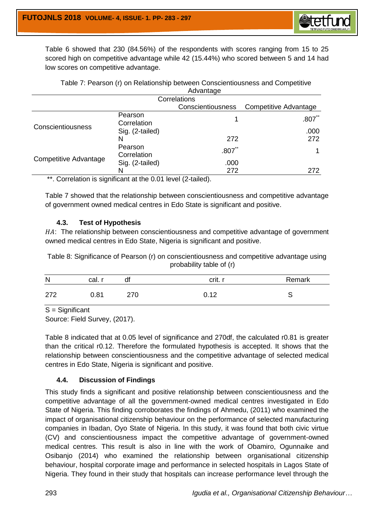Table 6 showed that 230 (84.56%) of the respondents with scores ranging from 15 to 25 scored high on competitive advantage while 42 (15.44%) who scored between 5 and 14 had low scores on competitive advantage.

| Table 7: Pearson (r) on Relationship between Conscientiousness and Competitive |
|--------------------------------------------------------------------------------|
| Advantage                                                                      |
| $O = 1$                                                                        |

| Correlations                                           |                        |                          |                       |  |  |  |  |
|--------------------------------------------------------|------------------------|--------------------------|-----------------------|--|--|--|--|
|                                                        |                        | <b>Conscientiousness</b> | Competitive Advantage |  |  |  |  |
|                                                        | Pearson<br>Correlation |                          | $.807$ **             |  |  |  |  |
| Conscientiousness                                      | Sig. (2-tailed)        |                          | .000                  |  |  |  |  |
|                                                        |                        | 272                      | 272                   |  |  |  |  |
|                                                        | Pearson<br>Correlation | $.807$ **                |                       |  |  |  |  |
| Competitive Advantage                                  | Sig. (2-tailed)        | .000                     |                       |  |  |  |  |
|                                                        | N                      | 272                      | 272                   |  |  |  |  |
| $**$ Consistent is similar at the COA level (Otaliaal) |                        |                          |                       |  |  |  |  |

. Correlation is significant at the 0.01 level (2-tailed).

Table 7 showed that the relationship between conscientiousness and competitive advantage of government owned medical centres in Edo State is significant and positive.

## **4.3. Test of Hypothesis**

HA: The relationship between conscientiousness and competitive advantage of government owned medical centres in Edo State, Nigeria is significant and positive.

Table 8: Significance of Pearson (r) on conscientiousness and competitive advantage using probability table of (r)

| $\mathsf{N}$ | cal.r | df  | crit. r | Remark |
|--------------|-------|-----|---------|--------|
| 272          | 0.81  | 270 | 0.12    |        |

S = Significant

Source: Field Survey, (2017).

Table 8 indicated that at 0.05 level of significance and 270df, the calculated r0.81 is greater than the critical r0.12. Therefore the formulated hypothesis is accepted. It shows that the relationship between conscientiousness and the competitive advantage of selected medical centres in Edo State, Nigeria is significant and positive.

# **4.4. Discussion of Findings**

This study finds a significant and positive relationship between conscientiousness and the competitive advantage of all the government-owned medical centres investigated in Edo State of Nigeria. This finding corroborates the findings of Ahmedu, (2011) who examined the impact of organisational citizenship behaviour on the performance of selected manufacturing companies in Ibadan, Oyo State of Nigeria. In this study, it was found that both civic virtue (CV) and conscientiousness impact the competitive advantage of government-owned medical centres. This result is also in line with the work of Obamiro, Ogunnaike and Osibanjo (2014) who examined the relationship between organisational citizenship behaviour, hospital corporate image and performance in selected hospitals in Lagos State of Nigeria. They found in their study that hospitals can increase performance level through the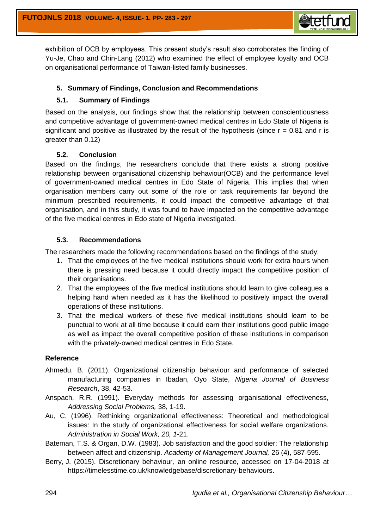

exhibition of OCB by employees. This present study's result also corroborates the finding of Yu-Je, Chao and Chin-Lang (2012) who examined the effect of employee loyalty and OCB on organisational performance of Taiwan-listed family businesses.

## **5. Summary of Findings, Conclusion and Recommendations**

## **5.1. Summary of Findings**

Based on the analysis, our findings show that the relationship between conscientiousness and competitive advantage of government-owned medical centres in Edo State of Nigeria is significant and positive as illustrated by the result of the hypothesis (since  $r = 0.81$  and r is greater than 0.12)

### **5.2. Conclusion**

Based on the findings, the researchers conclude that there exists a strong positive relationship between organisational citizenship behaviour(OCB) and the performance level of government-owned medical centres in Edo State of Nigeria. This implies that when organisation members carry out some of the role or task requirements far beyond the minimum prescribed requirements, it could impact the competitive advantage of that organisation, and in this study, it was found to have impacted on the competitive advantage of the five medical centres in Edo state of Nigeria investigated.

### **5.3. Recommendations**

The researchers made the following recommendations based on the findings of the study:

- 1. That the employees of the five medical institutions should work for extra hours when there is pressing need because it could directly impact the competitive position of their organisations.
- 2. That the employees of the five medical institutions should learn to give colleagues a helping hand when needed as it has the likelihood to positively impact the overall operations of these institutions.
- 3. That the medical workers of these five medical institutions should learn to be punctual to work at all time because it could earn their institutions good public image as well as impact the overall competitive position of these institutions in comparison with the privately-owned medical centres in Edo State.

### **Reference**

- Ahmedu, B. (2011). Organizational citizenship behaviour and performance of selected manufacturing companies in Ibadan, Oyo State, *Nigeria Journal of Business Research*, 38, 42-53.
- Anspach, R.R. (1991). Everyday methods for assessing organisational effectiveness, *Addressing Social Problems,* 38, 1-19.
- Au, C. (1996). Rethinking organizational effectiveness: Theoretical and methodological issues: In the study of organizational effectiveness for social welfare organizations. *Administration in Social Work, 20, 1*-21.
- Bateman, T.S. & Organ, D.W. (1983). Job satisfaction and the good soldier: The relationship between affect and citizenship. *Academy of Management Journal,* 26 (4), 587-595.
- Berry, J. (2015). Discretionary behaviour*,* an online resource, accessed on 17-04-2018 at [https://timelesstime.co.uk/knowledgebase/discretionary-behaviours.](https://timelesstime.co.uk/knowledgebase/discretionary-behaviours)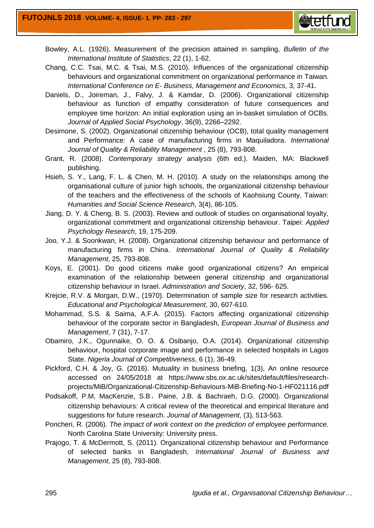

- Bowley, A.L. (1926). Measurement of the precision attained in sampling, *Bulletin of the International Institute of Statistics*, 22 (1), 1-62.
- Chang, C.C. Tsai, M.C. & Tsai, M.S. (2010). Influences of the organizational citizenship behaviours and organizational commitment on organizational performance in Taiwan. *International Conference on E- Business, Management and Economics*, 3, 37-41.
- Daniels, D., Joireman, J., Falvy, J. & Kamdar, D. (2006). Organizational citizenship behaviour as function of empathy consideration of future consequences and employee time horizon: An initial exploration using an in-basket simulation of OCBs. *Journal of Applied Social Psychology*, 36(9), 2266–2292.
- Desimone, S. (2002). Organizational citizenship behaviour (OCB), total quality management and Performance: A case of manufacturing firms in Maquiladora. *International Journal of Quality & Reliability Management* , 25 (8), 793-808.
- Grant, R. (2008). *Contemporary strategy analysis* (6th ed.). Maiden, MA: Blackwell publishing.
- Hsieh, S. Y., Lang, F. L. & Chen, M. H. (2010). A study on the relationships among the organisational culture of junior high schools, the organizational citizenship behaviour of the teachers and the effectiveness of the schools of Kaohsiung County. Taiwan: *Humanities and Social Science Research*, 3(4), 86-105.
- Jiang, D. Y. & Cheng, B. S. (2003). Review and outlook of studies on organisational loyalty, organizational commitment and organizational citizenship behaviour. Taipei: *Applied Psychology Research*, 19, 175-209.
- Joo, Y.J. & Soonkwan, H. (2008). Organizational citizenship behaviour and performance of manufacturing firms in China. *International Journal of Quality & Reliability Management*, 25, 793-808.
- Koys, E. (2001). Do good citizens make good organizational citizens? An empirical examination of the relationship between general citizenship and organizational citizenship behaviour in Israel. *Administration and Society*, 32, 596- 625.
- Krejcie, R.V. & Morgan, D.W., (1970). Determination of sample size for research activities. *Educational and Psychological Measurement*, 30, 607-610.
- Mohammad, S.S. & Saima, A.F.A. (2015). Factors affecting organizational citizenship behaviour of the corporate sector in Bangladesh, *European Journal of Business and Management*, 7 (31), 7-17.
- Obamiro, J.K., Ogunnaike, O. O. & Osibanjo, O.A. (2014). Organizational citizenship behaviour, hospital corporate image and performance in selected hospitals in Lagos State. *Nigeria Journal of Competitiveness*, 6 (1), 36-49.
- Pickford, C.H. & Joy, G. (2016). Mutuality in business briefing, 1(3), An online resource accessed on 24/05/2018 at https://www.sbs.ox.ac.uk/sites/default/files/researchprojects/MiB/Organizational-Citizenship-Behaviours-MiB-Briefing-No-1-HF021116.pdf
- Podsakoff, P.M, MacKenzie, S.B, Paine, J.B. & Bachraeh, D.G. (2000). Organizational citizenship behaviours: A critical review of the theoretical and empirical literature and suggestions for future research. *Journal of Management*, (3), 513-563.
- Poncheri, R. (2006). *The impact of work context on the prediction of employee performance.* North Carolina State University: University press.
- Prajogo, T. & McDermott, S. (2011). Organizational citizenship behaviour and Performance of selected banks in Bangladesh, *International Journal of Business and Management*, 25 (8), 793-808.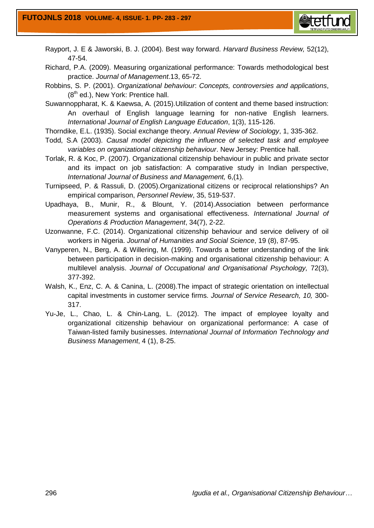

Rayport, J. E & Jaworski, B. J. (2004). Best way forward. *Harvard Business Review,* 52(12), 47-54.

Richard, P.A. (2009). Measuring organizational performance: Towards methodological best practice. *Journal of Management*.13, 65-72.

Robbins, S. P. (2001). *Organizational behaviour*: *Concepts, controversies and applications*,  $(8<sup>th</sup>$  ed.), New York: Prentice hall.

Suwannoppharat, K. & Kaewsa, A. (2015).Utilization of content and theme based instruction: An overhaul of English language learning for non-native English learners. *International Journal of English Language Education*, 1(3), 115-126.

Thorndike, E.L. (1935). Social exchange theory. *Annual Review of Sociology*, 1, 335-362.

- Todd, S.A (2003). *Causal model depicting the influence of selected task and employee variables on organizational citizenship behaviour*. New Jersey: Prentice hall.
- Torlak, R. & Koc, P. (2007). Organizational citizenship behaviour in public and private sector and its impact on job satisfaction: A comparative study in Indian perspective, *International Journal of Business and Management,* 6,(1).

Turnipseed, P. & Rassuli, D. (2005).Organizational citizens or reciprocal relationships? An empirical comparison, *Personnel Review*, 35, 519-537.

Upadhaya, B., Munir, R., & Blount, Y. (2014).Association between performance measurement systems and organisational effectiveness. *International Journal of Operations & Production Management*, 34(7), 2-22.

Uzonwanne, F.C. (2014). Organizational citizenship behaviour and service delivery of oil workers in Nigeria. *Journal of Humanities and Social Science*, 19 (8), 87-95.

- Vanyperen, N., Berg, A. & Willering, M. (1999). Towards a better understanding of the link between participation in decision-making and organisational citizenship behaviour: A multilevel analysis. *Journal of Occupational and Organisational Psychology,* 72(3), 377-392.
- Walsh, K., Enz, C. A. & Canina, L. (2008).The impact of strategic orientation on intellectual capital investments in customer service firms. *Journal of Service Research, 10,* 300- 317.
- Yu-Je, L., Chao, L. & Chin-Lang, L. (2012). The impact of employee loyalty and organizational citizenship behaviour on organizational performance: A case of Taiwan-listed family businesses. *International Journal of Information Technology and Business Management*, 4 (1), 8-25.